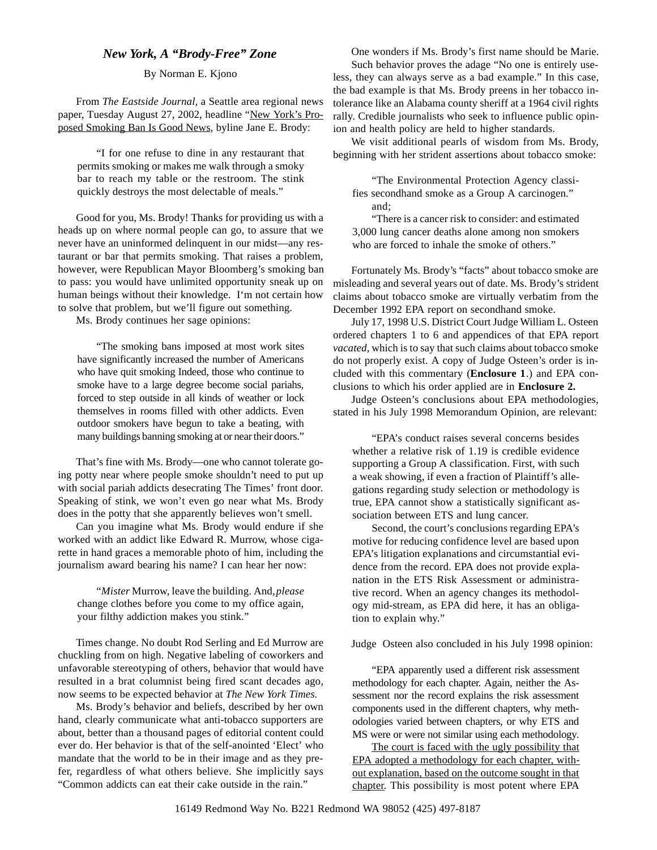## *New York, A "Brody-Free" Zone*

## By Norman E. Kjono

From *The Eastside Journal,* a Seattle area regional news paper, Tuesday August 27, 2002, headline "New York's Proposed Smoking Ban Is Good News, byline Jane E. Brody:

"I for one refuse to dine in any restaurant that permits smoking or makes me walk through a smoky bar to reach my table or the restroom. The stink quickly destroys the most delectable of meals."

Good for you, Ms. Brody! Thanks for providing us with a heads up on where normal people can go, to assure that we never have an uninformed delinquent in our midst—any restaurant or bar that permits smoking. That raises a problem, however, were Republican Mayor Bloomberg's smoking ban to pass: you would have unlimited opportunity sneak up on human beings without their knowledge. I'm not certain how to solve that problem, but we'll figure out something.

Ms. Brody continues her sage opinions:

"The smoking bans imposed at most work sites have significantly increased the number of Americans who have quit smoking Indeed, those who continue to smoke have to a large degree become social pariahs, forced to step outside in all kinds of weather or lock themselves in rooms filled with other addicts. Even outdoor smokers have begun to take a beating, with many buildings banning smoking at or near their doors."

That's fine with Ms. Brody—one who cannot tolerate going potty near where people smoke shouldn't need to put up with social pariah addicts desecrating The Times' front door*.* Speaking of stink, we won't even go near what Ms. Brody does in the potty that she apparently believes won't smell.

Can you imagine what Ms. Brody would endure if she worked with an addict like Edward R. Murrow, whose cigarette in hand graces a memorable photo of him, including the journalism award bearing his name? I can hear her now:

"*Mister* Murrow, leave the building. And, *please* change clothes before you come to my office again, your filthy addiction makes you stink."

Times change. No doubt Rod Serling and Ed Murrow are chuckling from on high. Negative labeling of coworkers and unfavorable stereotyping of others, behavior that would have resulted in a brat columnist being fired scant decades ago, now seems to be expected behavior at *The New York Times.*

Ms. Brody's behavior and beliefs, described by her own hand, clearly communicate what anti-tobacco supporters are about, better than a thousand pages of editorial content could ever do. Her behavior is that of the self-anointed 'Elect' who mandate that the world to be in their image and as they prefer, regardless of what others believe. She implicitly says "Common addicts can eat their cake outside in the rain."

One wonders if Ms. Brody's first name should be Marie. Such behavior proves the adage "No one is entirely useless, they can always serve as a bad example." In this case, the bad example is that Ms. Brody preens in her tobacco intolerance like an Alabama county sheriff at a 1964 civil rights rally. Credible journalists who seek to influence public opinion and health policy are held to higher standards.

We visit additional pearls of wisdom from Ms. Brody, beginning with her strident assertions about tobacco smoke:

"The Environmental Protection Agency classifies secondhand smoke as a Group A carcinogen." and;

"There is a cancer risk to consider: and estimated 3,000 lung cancer deaths alone among non smokers who are forced to inhale the smoke of others."

Fortunately Ms. Brody's "facts" about tobacco smoke are misleading and several years out of date. Ms. Brody's strident claims about tobacco smoke are virtually verbatim from the December 1992 EPA report on secondhand smoke.

July 17, 1998 U.S. District Court Judge William L. Osteen ordered chapters 1 to 6 and appendices of that EPA report *vacated,* which is to say that such claims about tobacco smoke do not properly exist. A copy of Judge Osteen's order is included with this commentary (**Enclosure 1**.) and EPA conclusions to which his order applied are in **Enclosure 2.**

Judge Osteen's conclusions about EPA methodologies, stated in his July 1998 Memorandum Opinion, are relevant:

"EPA's conduct raises several concerns besides whether a relative risk of 1.19 is credible evidence supporting a Group A classification. First, with such a weak showing, if even a fraction of Plaintiff's allegations regarding study selection or methodology is true, EPA cannot show a statistically significant association between ETS and lung cancer.

Second, the court's conclusions regarding EPA's motive for reducing confidence level are based upon EPA's litigation explanations and circumstantial evidence from the record. EPA does not provide explanation in the ETS Risk Assessment or administrative record. When an agency changes its methodology mid-stream, as EPA did here, it has an obligation to explain why."

Judge Osteen also concluded in his July 1998 opinion:

"EPA apparently used a different risk assessment methodology for each chapter. Again, neither the Assessment nor the record explains the risk assessment components used in the different chapters, why methodologies varied between chapters, or why ETS and MS were or were not similar using each methodology.

The court is faced with the ugly possibility that EPA adopted a methodology for each chapter, without explanation, based on the outcome sought in that chapter. This possibility is most potent where EPA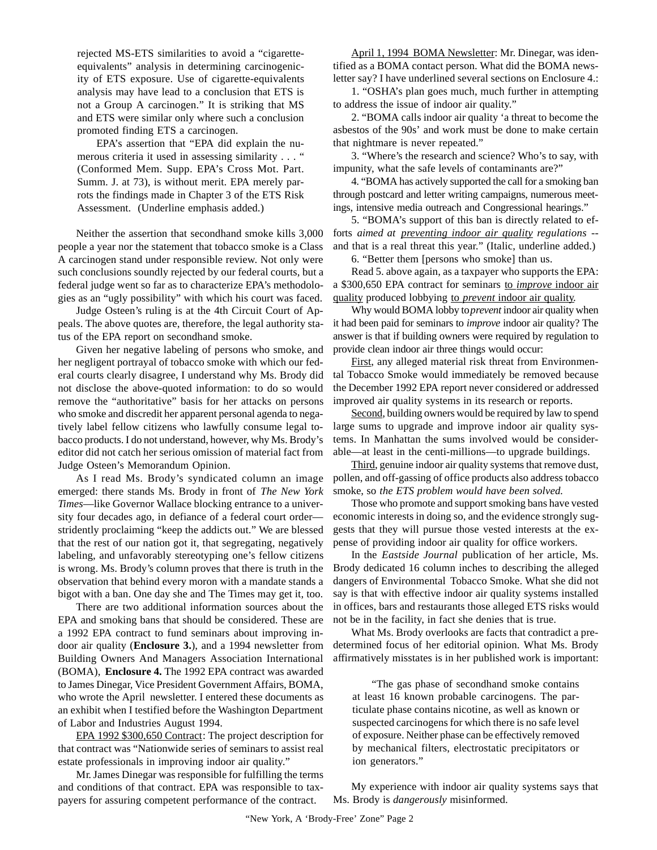rejected MS-ETS similarities to avoid a "cigaretteequivalents" analysis in determining carcinogenicity of ETS exposure. Use of cigarette-equivalents analysis may have lead to a conclusion that ETS is not a Group A carcinogen." It is striking that MS and ETS were similar only where such a conclusion promoted finding ETS a carcinogen.

EPA's assertion that "EPA did explain the numerous criteria it used in assessing similarity . . . " (Conformed Mem. Supp. EPA's Cross Mot. Part. Summ. J. at 73), is without merit. EPA merely parrots the findings made in Chapter 3 of the ETS Risk Assessment. (Underline emphasis added.)

Neither the assertion that secondhand smoke kills 3,000 people a year nor the statement that tobacco smoke is a Class A carcinogen stand under responsible review. Not only were such conclusions soundly rejected by our federal courts, but a federal judge went so far as to characterize EPA's methodologies as an "ugly possibility" with which his court was faced.

Judge Osteen's ruling is at the 4th Circuit Court of Appeals. The above quotes are, therefore, the legal authority status of the EPA report on secondhand smoke.

Given her negative labeling of persons who smoke, and her negligent portrayal of tobacco smoke with which our federal courts clearly disagree, I understand why Ms. Brody did not disclose the above-quoted information: to do so would remove the "authoritative" basis for her attacks on persons who smoke and discredit her apparent personal agenda to negatively label fellow citizens who lawfully consume legal tobacco products. I do not understand, however, why Ms. Brody's editor did not catch her serious omission of material fact from Judge Osteen's Memorandum Opinion.

As I read Ms. Brody's syndicated column an image emerged: there stands Ms. Brody in front of *The New York Times*—like Governor Wallace blocking entrance to a university four decades ago, in defiance of a federal court order stridently proclaiming "keep the addicts out." We are blessed that the rest of our nation got it, that segregating, negatively labeling, and unfavorably stereotyping one's fellow citizens is wrong. Ms. Brody's column proves that there is truth in the observation that behind every moron with a mandate stands a bigot with a ban. One day she and The Times may get it, too.

There are two additional information sources about the EPA and smoking bans that should be considered. These are a 1992 EPA contract to fund seminars about improving indoor air quality (**Enclosure 3.**), and a 1994 newsletter from Building Owners And Managers Association International (BOMA), **Enclosure 4.** The 1992 EPA contract was awarded to James Dinegar, Vice President Government Affairs, BOMA, who wrote the April newsletter. I entered these documents as an exhibit when I testified before the Washington Department of Labor and Industries August 1994.

EPA 1992 \$300,650 Contract: The project description for that contract was "Nationwide series of seminars to assist real estate professionals in improving indoor air quality."

Mr. James Dinegar was responsible for fulfilling the terms and conditions of that contract. EPA was responsible to taxpayers for assuring competent performance of the contract.

April 1, 1994 BOMA Newsletter: Mr. Dinegar, was identified as a BOMA contact person. What did the BOMA newsletter say? I have underlined several sections on Enclosure 4.:

1. "OSHA's plan goes much, much further in attempting to address the issue of indoor air quality."

2. "BOMA calls indoor air quality 'a threat to become the asbestos of the 90s' and work must be done to make certain that nightmare is never repeated."

3. "Where's the research and science? Who's to say, with impunity, what the safe levels of contaminants are?"

4. "BOMA has actively supported the call for a smoking ban through postcard and letter writing campaigns, numerous meetings, intensive media outreach and Congressional hearings."

5. "BOMA's support of this ban is directly related to efforts *aimed at preventing indoor air quality regulations* - and that is a real threat this year." (Italic, underline added.)

6. "Better them [persons who smoke] than us.

Read 5. above again, as a taxpayer who supports the EPA: a \$300,650 EPA contract for seminars to *improve* indoor air quality produced lobbying to *prevent* indoor air quality.

Why would BOMA lobby to *prevent* indoor air quality when it had been paid for seminars to *improve* indoor air quality? The answer is that if building owners were required by regulation to provide clean indoor air three things would occur:

First, any alleged material risk threat from Environmental Tobacco Smoke would immediately be removed because the December 1992 EPA report never considered or addressed improved air quality systems in its research or reports.

Second, building owners would be required by law to spend large sums to upgrade and improve indoor air quality systems. In Manhattan the sums involved would be considerable—at least in the centi-millions—to upgrade buildings.

Third, genuine indoor air quality systems that remove dust, pollen, and off-gassing of office products also address tobacco smoke, so *the ETS problem would have been solved.*

Those who promote and support smoking bans have vested economic interests in doing so, and the evidence strongly suggests that they will pursue those vested interests at the expense of providing indoor air quality for office workers.

In the *Eastside Journal* publication of her article, Ms. Brody dedicated 16 column inches to describing the alleged dangers of Environmental Tobacco Smoke. What she did not say is that with effective indoor air quality systems installed in offices, bars and restaurants those alleged ETS risks would not be in the facility, in fact she denies that is true.

What Ms. Brody overlooks are facts that contradict a predetermined focus of her editorial opinion. What Ms. Brody affirmatively misstates is in her published work is important:

"The gas phase of secondhand smoke contains at least 16 known probable carcinogens. The particulate phase contains nicotine, as well as known or suspected carcinogens for which there is no safe level of exposure. Neither phase can be effectively removed by mechanical filters, electrostatic precipitators or ion generators."

My experience with indoor air quality systems says that Ms. Brody is *dangerously* misinformed.